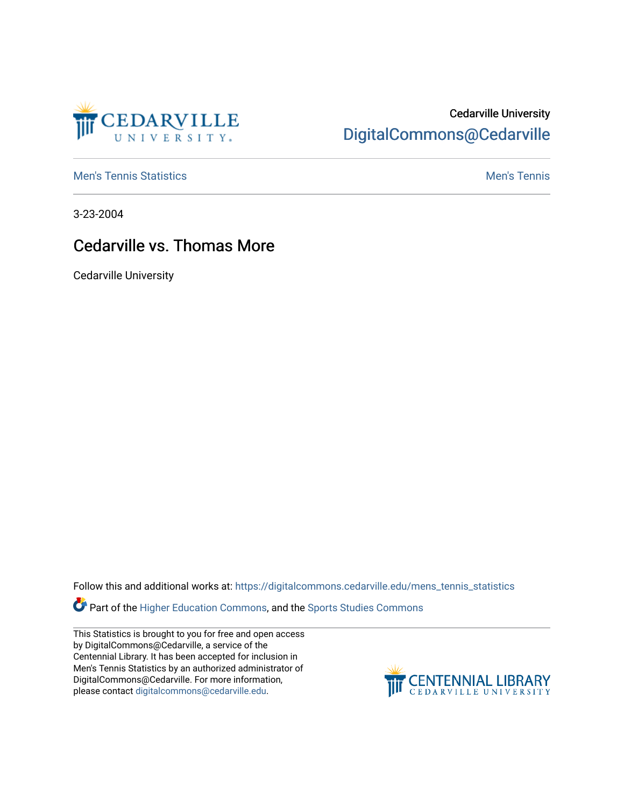

## Cedarville University [DigitalCommons@Cedarville](https://digitalcommons.cedarville.edu/)

**[Men's Tennis Statistics](https://digitalcommons.cedarville.edu/mens_tennis_statistics) Mental According to the Control of Control According Mental Men's Tennis** 

3-23-2004

## Cedarville vs. Thomas More

Cedarville University

Follow this and additional works at: [https://digitalcommons.cedarville.edu/mens\\_tennis\\_statistics](https://digitalcommons.cedarville.edu/mens_tennis_statistics?utm_source=digitalcommons.cedarville.edu%2Fmens_tennis_statistics%2F585&utm_medium=PDF&utm_campaign=PDFCoverPages)

Part of the [Higher Education Commons,](http://network.bepress.com/hgg/discipline/1245?utm_source=digitalcommons.cedarville.edu%2Fmens_tennis_statistics%2F585&utm_medium=PDF&utm_campaign=PDFCoverPages) and the Sports Studies Commons

This Statistics is brought to you for free and open access by DigitalCommons@Cedarville, a service of the Centennial Library. It has been accepted for inclusion in Men's Tennis Statistics by an authorized administrator of DigitalCommons@Cedarville. For more information, please contact [digitalcommons@cedarville.edu](mailto:digitalcommons@cedarville.edu).